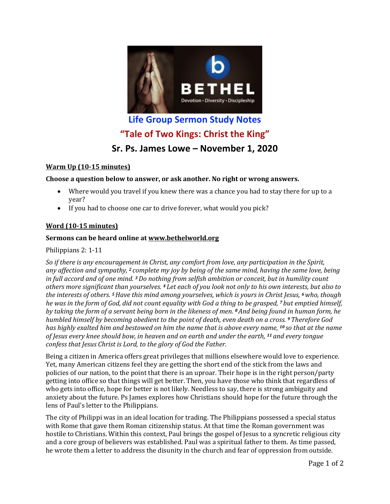

**Life Group Sermon Study Notes "Tale of Two Kings: Christ the King"**

# **Sr. Ps. James Lowe – November 1, 2020**

# **Warm Up (10-15 minutes)**

## **Choose a question below to answer, or ask another. No right or wrong answers.**

- Where would you travel if you knew there was a chance you had to stay there for up to a year?
- If you had to choose one car to drive forever, what would you pick?

# **Word (10-15 minutes)**

## **Sermons can be heard online at [www.bethelworld.org](http://www.bethelworld.org/)**

#### Philippians 2: 1-11

*So if there is any encouragement in Christ, any comfort from love, any participation in the Spirit, any affection and sympathy, <sup>2</sup> complete my joy by being of the same mind, having the same love, being in full accord and of one mind. <sup>3</sup>Do nothing from selfish ambition or conceit, but in humility count others more significant than yourselves. <sup>4</sup> Let each of you look not only to his own interests, but also to the interests of others. <sup>5</sup>Have this mind among yourselves, which is yours in Christ Jesus, <sup>6</sup>who, though he was in the form of God, did not count equality with God a thing to be grasped, <sup>7</sup> but emptied himself, by taking the form of a servant being born in the likeness of men. <sup>8</sup>And being found in human form, he humbled himself by becoming obedient to the point of death, even death on a cross. <sup>9</sup>Therefore God has highly exalted him and bestowed on him the name that is above every name, <sup>10</sup> so that at the name of Jesus every knee should bow, in heaven and on earth and under the earth, <sup>11</sup> and every tongue confess that Jesus Christ is Lord, to the glory of God the Father.*

Being a citizen in America offers great privileges that millions elsewhere would love to experience. Yet, many American citizens feel they are getting the short end of the stick from the laws and policies of our nation, to the point that there is an uproar. Their hope is in the right person/party getting into office so that things will get better. Then, you have those who think that regardless of who gets into office, hope for better is not likely. Needless to say, there is strong ambiguity and anxiety about the future. Ps James explores how Christians should hope for the future through the lens of Paul's letter to the Philippians.

The city of Philippi was in an ideal location for trading. The Philippians possessed a special status with Rome that gave them Roman citizenship status. At that time the Roman government was hostile to Christians. Within this context, Paul brings the gospel of Jesus to a syncretic religious city and a core group of believers was established. Paul was a spiritual father to them. As time passed, he wrote them a letter to address the disunity in the church and fear of oppression from outside.